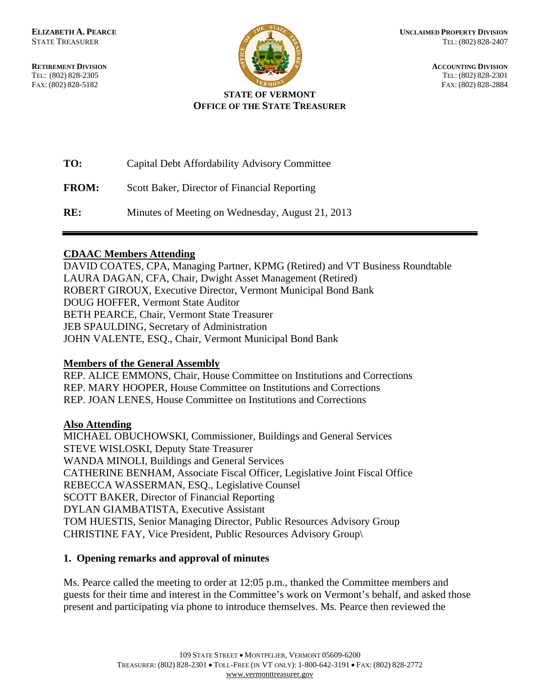

**RETIREMENT DIVISION ACCOUNTING DIVISION** TEL: (802) 828-2305 TEL: (802) 828-2301 FAX: (802) 828-5182 FAX: (802) 828-2884

# **STATE OF VERMONT OFFICE OF THE STATE TREASURER**

| TO:          | Capital Debt Affordability Advisory Committee    |
|--------------|--------------------------------------------------|
| <b>FROM:</b> | Scott Baker, Director of Financial Reporting     |
| RE:          | Minutes of Meeting on Wednesday, August 21, 2013 |

# **CDAAC Members Attending**

DAVID COATES, CPA, Managing Partner, KPMG (Retired) and VT Business Roundtable LAURA DAGAN, CFA, Chair, Dwight Asset Management (Retired) ROBERT GIROUX, Executive Director, Vermont Municipal Bond Bank DOUG HOFFER, Vermont State Auditor BETH PEARCE, Chair, Vermont State Treasurer JEB SPAULDING, Secretary of Administration JOHN VALENTE, ESQ., Chair, Vermont Municipal Bond Bank

# **Members of the General Assembly**

REP. ALICE EMMONS, Chair, House Committee on Institutions and Corrections REP. MARY HOOPER, House Committee on Institutions and Corrections REP. JOAN LENES, House Committee on Institutions and Corrections

# **Also Attending**

MICHAEL OBUCHOWSKI, Commissioner, Buildings and General Services STEVE WISLOSKI, Deputy State Treasurer WANDA MINOLI, Buildings and General Services CATHERINE BENHAM, Associate Fiscal Officer, Legislative Joint Fiscal Office REBECCA WASSERMAN, ESQ., Legislative Counsel SCOTT BAKER, Director of Financial Reporting DYLAN GIAMBATISTA, Executive Assistant TOM HUESTIS, Senior Managing Director, Public Resources Advisory Group CHRISTINE FAY, Vice President, Public Resources Advisory Group\

# **1. Opening remarks and approval of minutes**

Ms. Pearce called the meeting to order at 12:05 p.m., thanked the Committee members and guests for their time and interest in the Committee's work on Vermont's behalf, and asked those present and participating via phone to introduce themselves. Ms. Pearce then reviewed the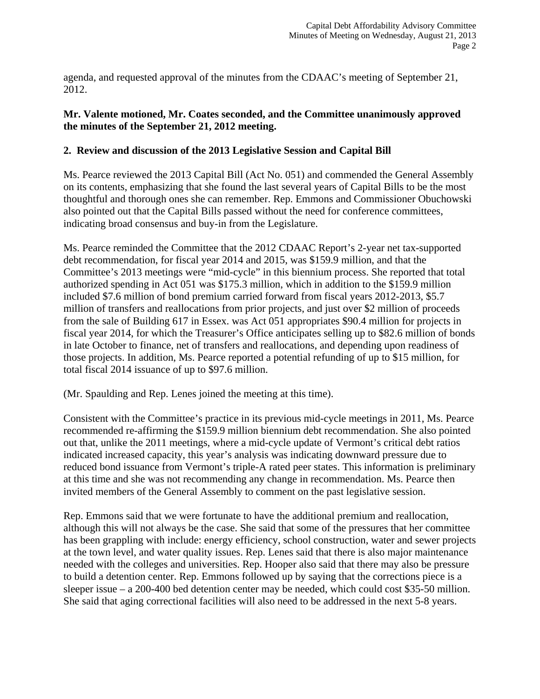agenda, and requested approval of the minutes from the CDAAC's meeting of September 21, 2012.

# **Mr. Valente motioned, Mr. Coates seconded, and the Committee unanimously approved the minutes of the September 21, 2012 meeting.**

# **2. Review and discussion of the 2013 Legislative Session and Capital Bill**

Ms. Pearce reviewed the 2013 Capital Bill (Act No. 051) and commended the General Assembly on its contents, emphasizing that she found the last several years of Capital Bills to be the most thoughtful and thorough ones she can remember. Rep. Emmons and Commissioner Obuchowski also pointed out that the Capital Bills passed without the need for conference committees, indicating broad consensus and buy-in from the Legislature.

Ms. Pearce reminded the Committee that the 2012 CDAAC Report's 2-year net tax-supported debt recommendation, for fiscal year 2014 and 2015, was \$159.9 million, and that the Committee's 2013 meetings were "mid-cycle" in this biennium process. She reported that total authorized spending in Act 051 was \$175.3 million, which in addition to the \$159.9 million included \$7.6 million of bond premium carried forward from fiscal years 2012-2013, \$5.7 million of transfers and reallocations from prior projects, and just over \$2 million of proceeds from the sale of Building 617 in Essex. was Act 051 appropriates \$90.4 million for projects in fiscal year 2014, for which the Treasurer's Office anticipates selling up to \$82.6 million of bonds in late October to finance, net of transfers and reallocations, and depending upon readiness of those projects. In addition, Ms. Pearce reported a potential refunding of up to \$15 million, for total fiscal 2014 issuance of up to \$97.6 million.

(Mr. Spaulding and Rep. Lenes joined the meeting at this time).

Consistent with the Committee's practice in its previous mid-cycle meetings in 2011, Ms. Pearce recommended re-affirming the \$159.9 million biennium debt recommendation. She also pointed out that, unlike the 2011 meetings, where a mid-cycle update of Vermont's critical debt ratios indicated increased capacity, this year's analysis was indicating downward pressure due to reduced bond issuance from Vermont's triple-A rated peer states. This information is preliminary at this time and she was not recommending any change in recommendation. Ms. Pearce then invited members of the General Assembly to comment on the past legislative session.

Rep. Emmons said that we were fortunate to have the additional premium and reallocation, although this will not always be the case. She said that some of the pressures that her committee has been grappling with include: energy efficiency, school construction, water and sewer projects at the town level, and water quality issues. Rep. Lenes said that there is also major maintenance needed with the colleges and universities. Rep. Hooper also said that there may also be pressure to build a detention center. Rep. Emmons followed up by saying that the corrections piece is a sleeper issue – a 200-400 bed detention center may be needed, which could cost \$35-50 million. She said that aging correctional facilities will also need to be addressed in the next 5-8 years.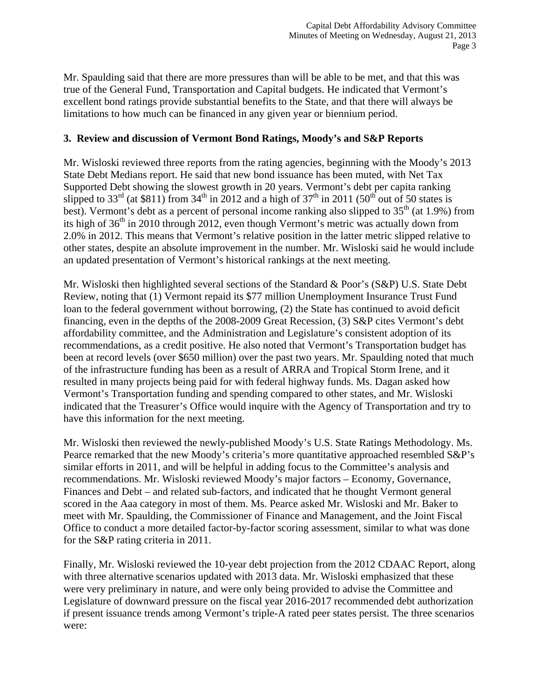Mr. Spaulding said that there are more pressures than will be able to be met, and that this was true of the General Fund, Transportation and Capital budgets. He indicated that Vermont's excellent bond ratings provide substantial benefits to the State, and that there will always be limitations to how much can be financed in any given year or biennium period.

# **3. Review and discussion of Vermont Bond Ratings, Moody's and S&P Reports**

Mr. Wisloski reviewed three reports from the rating agencies, beginning with the Moody's 2013 State Debt Medians report. He said that new bond issuance has been muted, with Net Tax Supported Debt showing the slowest growth in 20 years. Vermont's debt per capita ranking slipped to 33<sup>rd</sup> (at \$811) from 34<sup>th</sup> in 2012 and a high of 37<sup>th</sup> in 2011 (50<sup>th</sup> out of 50 states is best). Vermont's debt as a percent of personal income ranking also slipped to  $35<sup>th</sup>$  (at 1.9%) from its high of  $36<sup>th</sup>$  in 2010 through 2012, even though Vermont's metric was actually down from 2.0% in 2012. This means that Vermont's relative position in the latter metric slipped relative to other states, despite an absolute improvement in the number. Mr. Wisloski said he would include an updated presentation of Vermont's historical rankings at the next meeting.

Mr. Wisloski then highlighted several sections of the Standard & Poor's (S&P) U.S. State Debt Review, noting that (1) Vermont repaid its \$77 million Unemployment Insurance Trust Fund loan to the federal government without borrowing, (2) the State has continued to avoid deficit financing, even in the depths of the 2008-2009 Great Recession, (3) S&P cites Vermont's debt affordability committee, and the Administration and Legislature's consistent adoption of its recommendations, as a credit positive. He also noted that Vermont's Transportation budget has been at record levels (over \$650 million) over the past two years. Mr. Spaulding noted that much of the infrastructure funding has been as a result of ARRA and Tropical Storm Irene, and it resulted in many projects being paid for with federal highway funds. Ms. Dagan asked how Vermont's Transportation funding and spending compared to other states, and Mr. Wisloski indicated that the Treasurer's Office would inquire with the Agency of Transportation and try to have this information for the next meeting.

Mr. Wisloski then reviewed the newly-published Moody's U.S. State Ratings Methodology. Ms. Pearce remarked that the new Moody's criteria's more quantitative approached resembled S&P's similar efforts in 2011, and will be helpful in adding focus to the Committee's analysis and recommendations. Mr. Wisloski reviewed Moody's major factors – Economy, Governance, Finances and Debt – and related sub-factors, and indicated that he thought Vermont general scored in the Aaa category in most of them. Ms. Pearce asked Mr. Wisloski and Mr. Baker to meet with Mr. Spaulding, the Commissioner of Finance and Management, and the Joint Fiscal Office to conduct a more detailed factor-by-factor scoring assessment, similar to what was done for the S&P rating criteria in 2011.

Finally, Mr. Wisloski reviewed the 10-year debt projection from the 2012 CDAAC Report, along with three alternative scenarios updated with 2013 data. Mr. Wisloski emphasized that these were very preliminary in nature, and were only being provided to advise the Committee and Legislature of downward pressure on the fiscal year 2016-2017 recommended debt authorization if present issuance trends among Vermont's triple-A rated peer states persist. The three scenarios were: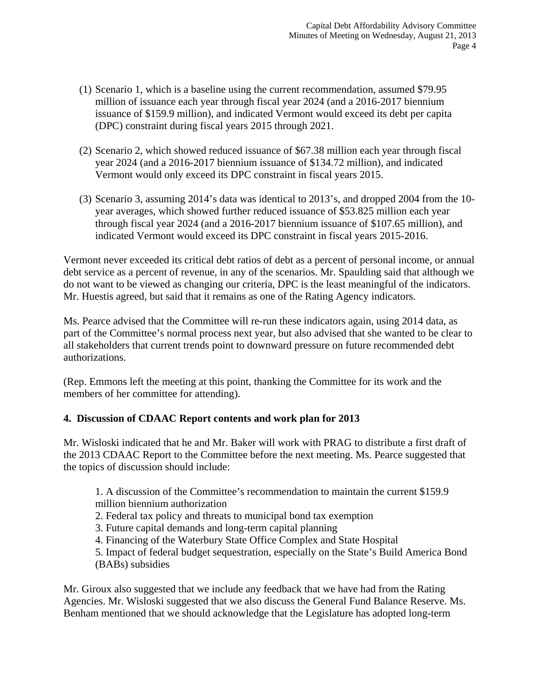- (1) Scenario 1, which is a baseline using the current recommendation, assumed \$79.95 million of issuance each year through fiscal year 2024 (and a 2016-2017 biennium issuance of \$159.9 million), and indicated Vermont would exceed its debt per capita (DPC) constraint during fiscal years 2015 through 2021.
- (2) Scenario 2, which showed reduced issuance of \$67.38 million each year through fiscal year 2024 (and a 2016-2017 biennium issuance of \$134.72 million), and indicated Vermont would only exceed its DPC constraint in fiscal years 2015.
- (3) Scenario 3, assuming 2014's data was identical to 2013's, and dropped 2004 from the 10 year averages, which showed further reduced issuance of \$53.825 million each year through fiscal year 2024 (and a 2016-2017 biennium issuance of \$107.65 million), and indicated Vermont would exceed its DPC constraint in fiscal years 2015-2016.

Vermont never exceeded its critical debt ratios of debt as a percent of personal income, or annual debt service as a percent of revenue, in any of the scenarios. Mr. Spaulding said that although we do not want to be viewed as changing our criteria, DPC is the least meaningful of the indicators. Mr. Huestis agreed, but said that it remains as one of the Rating Agency indicators.

Ms. Pearce advised that the Committee will re-run these indicators again, using 2014 data, as part of the Committee's normal process next year, but also advised that she wanted to be clear to all stakeholders that current trends point to downward pressure on future recommended debt authorizations.

(Rep. Emmons left the meeting at this point, thanking the Committee for its work and the members of her committee for attending).

# **4. Discussion of CDAAC Report contents and work plan for 2013**

Mr. Wisloski indicated that he and Mr. Baker will work with PRAG to distribute a first draft of the 2013 CDAAC Report to the Committee before the next meeting. Ms. Pearce suggested that the topics of discussion should include:

- 1. A discussion of the Committee's recommendation to maintain the current \$159.9 million biennium authorization
- 2. Federal tax policy and threats to municipal bond tax exemption
- 3. Future capital demands and long-term capital planning
- 4. Financing of the Waterbury State Office Complex and State Hospital

5. Impact of federal budget sequestration, especially on the State's Build America Bond (BABs) subsidies

Mr. Giroux also suggested that we include any feedback that we have had from the Rating Agencies. Mr. Wisloski suggested that we also discuss the General Fund Balance Reserve. Ms. Benham mentioned that we should acknowledge that the Legislature has adopted long-term